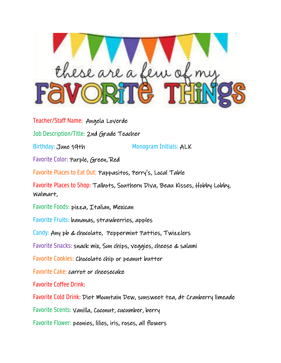

Teacher/Staff Name: Angela Loverde Job Description/Title: 2nd Grade Teacher Birthday: June 19th Monogram Initials: ALK Favorite Color: Purple, Green, Red Favorite Places to Eat Out: Pappasitos, Perry's, Local Table Favorite Places to Shop: Talbots, Southern Diva, Beau Kisses, Hobby Lobby, Walmart, Favorite Foods: pizza, Italian, Mexican Favorite Fruits: bananas, strawberries, apples Candy: Any pb & chocolate, Peppermint Patties, Twizzlers Favorite Snacks: snack mix, Sun chips, veggies, cheese & salami Favorite Cookies: Chocolate chip or peanut butter Favorite Cake: carrot or cheesecake Favorite Coffee Drink: Favorite Cold Drink: Diet Mountain Dew, sunsweet tea, dt Cranberry limeade Favorite Scents: Vanilla, Coconut, cucumber, berry Favorite Flower: peonies, lilies, iris, roses, all flowers